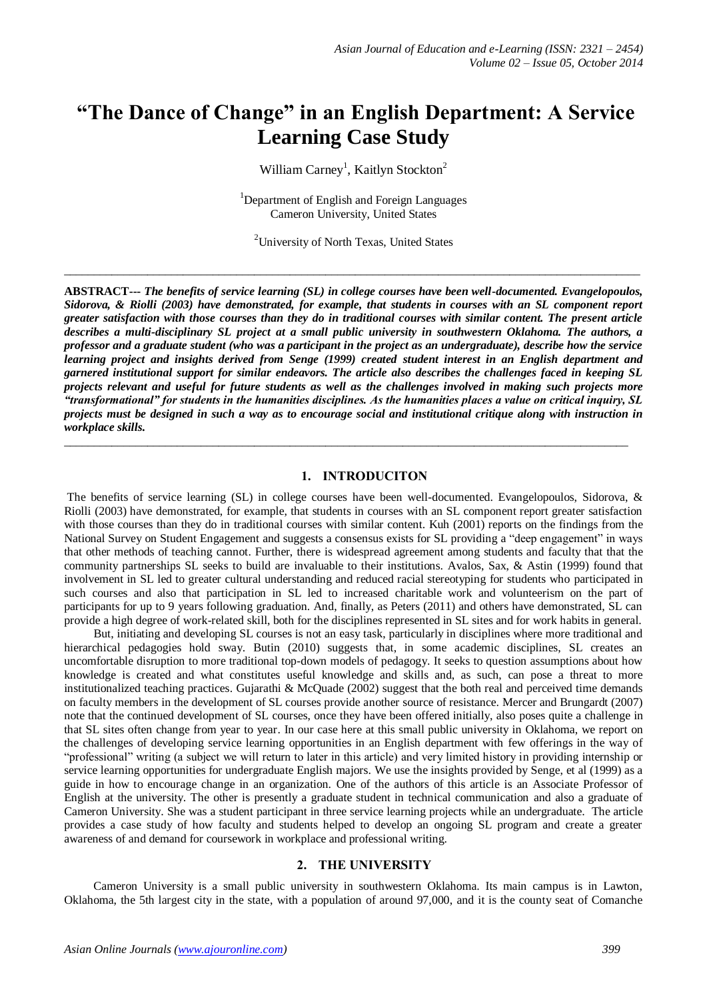# **"The Dance of Change" in an English Department: A Service Learning Case Study**

William Carney<sup>1</sup>, Kaitlyn Stockton<sup>2</sup>

<sup>1</sup>Department of English and Foreign Languages Cameron University, United States

<sup>2</sup>University of North Texas, United States

 $\_$  ,  $\_$  ,  $\_$  ,  $\_$  ,  $\_$  ,  $\_$  ,  $\_$  ,  $\_$  ,  $\_$  ,  $\_$  ,  $\_$  ,  $\_$  ,  $\_$  ,  $\_$  ,  $\_$  ,  $\_$  ,  $\_$  ,  $\_$  ,  $\_$  ,  $\_$  ,  $\_$  ,  $\_$  ,  $\_$  ,  $\_$  ,  $\_$  ,  $\_$  ,  $\_$  ,  $\_$  ,  $\_$  ,  $\_$  ,  $\_$  ,  $\_$  ,  $\_$  ,  $\_$  ,  $\_$  ,  $\_$  ,  $\_$  ,

**ABSTRACT---** *The benefits of service learning (SL) in college courses have been well-documented. Evangelopoulos, Sidorova, & Riolli (2003) have demonstrated, for example, that students in courses with an SL component report greater satisfaction with those courses than they do in traditional courses with similar content. The present article describes a multi-disciplinary SL project at a small public university in southwestern Oklahoma. The authors, a professor and a graduate student (who was a participant in the project as an undergraduate), describe how the service learning project and insights derived from Senge (1999) created student interest in an English department and garnered institutional support for similar endeavors. The article also describes the challenges faced in keeping SL projects relevant and useful for future students as well as the challenges involved in making such projects more "transformational" for students in the humanities disciplines. As the humanities places a value on critical inquiry, SL projects must be designed in such a way as to encourage social and institutional critique along with instruction in workplace skills.*

 $\_$  ,  $\_$  ,  $\_$  ,  $\_$  ,  $\_$  ,  $\_$  ,  $\_$  ,  $\_$  ,  $\_$  ,  $\_$  ,  $\_$  ,  $\_$  ,  $\_$  ,  $\_$  ,  $\_$  ,  $\_$  ,  $\_$  ,  $\_$  ,  $\_$  ,  $\_$  ,  $\_$  ,  $\_$  ,  $\_$  ,  $\_$  ,  $\_$  ,  $\_$  ,  $\_$  ,  $\_$  ,  $\_$  ,  $\_$  ,  $\_$  ,  $\_$  ,  $\_$  ,  $\_$  ,  $\_$  ,  $\_$  ,  $\_$  ,

#### **1. INTRODUCITON**

The benefits of service learning (SL) in college courses have been well-documented. Evangelopoulos, Sidorova, & Riolli (2003) have demonstrated, for example, that students in courses with an SL component report greater satisfaction with those courses than they do in traditional courses with similar content. Kuh (2001) reports on the findings from the National Survey on Student Engagement and suggests a consensus exists for SL providing a "deep engagement" in ways that other methods of teaching cannot. Further, there is widespread agreement among students and faculty that that the community partnerships SL seeks to build are invaluable to their institutions. Avalos, Sax, & Astin (1999) found that involvement in SL led to greater cultural understanding and reduced racial stereotyping for students who participated in such courses and also that participation in SL led to increased charitable work and volunteerism on the part of participants for up to 9 years following graduation. And, finally, as Peters (2011) and others have demonstrated, SL can provide a high degree of work-related skill, both for the disciplines represented in SL sites and for work habits in general.

 But, initiating and developing SL courses is not an easy task, particularly in disciplines where more traditional and hierarchical pedagogies hold sway. Butin (2010) suggests that, in some academic disciplines, SL creates an uncomfortable disruption to more traditional top-down models of pedagogy. It seeks to question assumptions about how knowledge is created and what constitutes useful knowledge and skills and, as such, can pose a threat to more institutionalized teaching practices. Gujarathi & McQuade (2002) suggest that the both real and perceived time demands on faculty members in the development of SL courses provide another source of resistance. Mercer and Brungardt (2007) note that the continued development of SL courses, once they have been offered initially, also poses quite a challenge in that SL sites often change from year to year. In our case here at this small public university in Oklahoma, we report on the challenges of developing service learning opportunities in an English department with few offerings in the way of "professional" writing (a subject we will return to later in this article) and very limited history in providing internship or service learning opportunities for undergraduate English majors. We use the insights provided by Senge, et al (1999) as a guide in how to encourage change in an organization. One of the authors of this article is an Associate Professor of English at the university. The other is presently a graduate student in technical communication and also a graduate of Cameron University. She was a student participant in three service learning projects while an undergraduate. The article provides a case study of how faculty and students helped to develop an ongoing SL program and create a greater awareness of and demand for coursework in workplace and professional writing.

## **2. THE UNIVERSITY**

 Cameron University is a small public university in southwestern Oklahoma. Its main campus is in Lawton, Oklahoma, the 5th largest city in the state, with a population of around 97,000, and it is the county seat of Comanche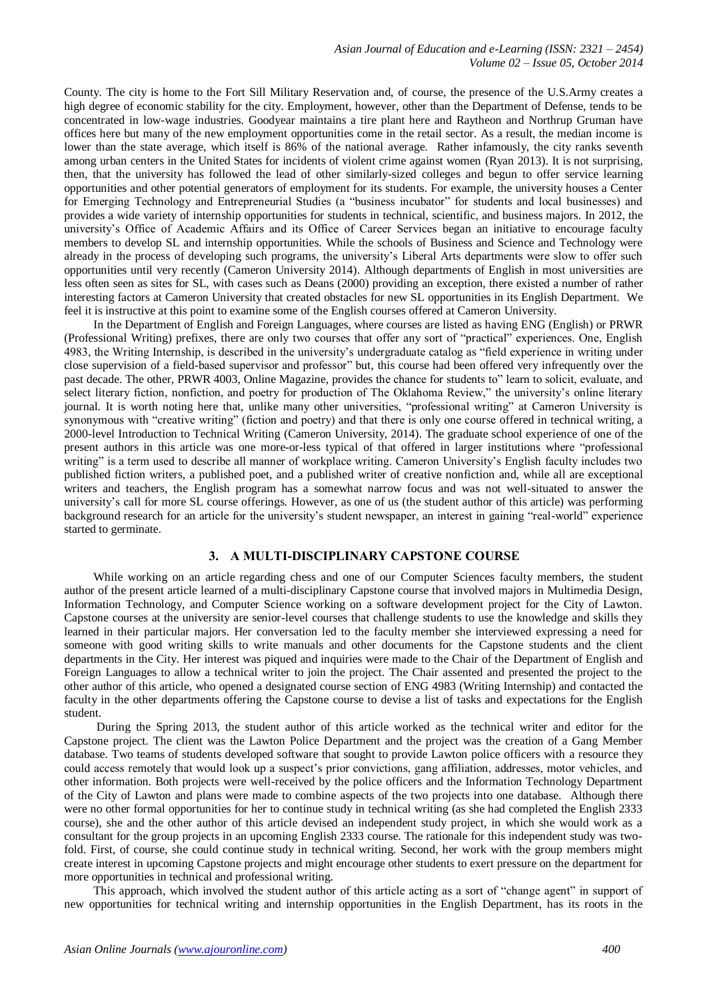County. The city is home to the Fort Sill Military Reservation and, of course, the presence of the U.S.Army creates a high degree of economic stability for the city. Employment, however, other than the Department of Defense, tends to be concentrated in low-wage industries. Goodyear maintains a tire plant here and Raytheon and Northrup Gruman have offices here but many of the new employment opportunities come in the retail sector. As a result, the median income is lower than the state average, which itself is 86% of the national average. Rather infamously, the city ranks seventh among urban centers in the United States for incidents of violent crime against women (Ryan 2013). It is not surprising, then, that the university has followed the lead of other similarly-sized colleges and begun to offer service learning opportunities and other potential generators of employment for its students. For example, the university houses a Center for Emerging Technology and Entrepreneurial Studies (a "business incubator" for students and local businesses) and provides a wide variety of internship opportunities for students in technical, scientific, and business majors. In 2012, the university's Office of Academic Affairs and its Office of Career Services began an initiative to encourage faculty members to develop SL and internship opportunities. While the schools of Business and Science and Technology were already in the process of developing such programs, the university's Liberal Arts departments were slow to offer such opportunities until very recently (Cameron University 2014). Although departments of English in most universities are less often seen as sites for SL, with cases such as Deans (2000) providing an exception, there existed a number of rather interesting factors at Cameron University that created obstacles for new SL opportunities in its English Department. We feel it is instructive at this point to examine some of the English courses offered at Cameron University.

 In the Department of English and Foreign Languages, where courses are listed as having ENG (English) or PRWR (Professional Writing) prefixes, there are only two courses that offer any sort of "practical" experiences. One, English 4983, the Writing Internship, is described in the university's undergraduate catalog as "field experience in writing under close supervision of a field-based supervisor and professor" but, this course had been offered very infrequently over the past decade. The other, PRWR 4003, Online Magazine, provides the chance for students to" learn to solicit, evaluate, and select literary fiction, nonfiction, and poetry for production of The Oklahoma Review," the university's online literary journal. It is worth noting here that, unlike many other universities, "professional writing" at Cameron University is synonymous with "creative writing" (fiction and poetry) and that there is only one course offered in technical writing, a 2000-level Introduction to Technical Writing (Cameron University, 2014). The graduate school experience of one of the present authors in this article was one more-or-less typical of that offered in larger institutions where "professional writing" is a term used to describe all manner of workplace writing. Cameron University's English faculty includes two published fiction writers, a published poet, and a published writer of creative nonfiction and, while all are exceptional writers and teachers, the English program has a somewhat narrow focus and was not well-situated to answer the university's call for more SL course offerings. However, as one of us (the student author of this article) was performing background research for an article for the university's student newspaper, an interest in gaining "real-world" experience started to germinate.

## **3. A MULTI-DISCIPLINARY CAPSTONE COURSE**

 While working on an article regarding chess and one of our Computer Sciences faculty members, the student author of the present article learned of a multi-disciplinary Capstone course that involved majors in Multimedia Design, Information Technology, and Computer Science working on a software development project for the City of Lawton. Capstone courses at the university are senior-level courses that challenge students to use the knowledge and skills they learned in their particular majors. Her conversation led to the faculty member she interviewed expressing a need for someone with good writing skills to write manuals and other documents for the Capstone students and the client departments in the City. Her interest was piqued and inquiries were made to the Chair of the Department of English and Foreign Languages to allow a technical writer to join the project. The Chair assented and presented the project to the other author of this article, who opened a designated course section of ENG 4983 (Writing Internship) and contacted the faculty in the other departments offering the Capstone course to devise a list of tasks and expectations for the English student.

 During the Spring 2013, the student author of this article worked as the technical writer and editor for the Capstone project. The client was the Lawton Police Department and the project was the creation of a Gang Member database. Two teams of students developed software that sought to provide Lawton police officers with a resource they could access remotely that would look up a suspect's prior convictions, gang affiliation, addresses, motor vehicles, and other information. Both projects were well-received by the police officers and the Information Technology Department of the City of Lawton and plans were made to combine aspects of the two projects into one database. Although there were no other formal opportunities for her to continue study in technical writing (as she had completed the English 2333 course), she and the other author of this article devised an independent study project, in which she would work as a consultant for the group projects in an upcoming English 2333 course. The rationale for this independent study was twofold. First, of course, she could continue study in technical writing. Second, her work with the group members might create interest in upcoming Capstone projects and might encourage other students to exert pressure on the department for more opportunities in technical and professional writing.

 This approach, which involved the student author of this article acting as a sort of "change agent" in support of new opportunities for technical writing and internship opportunities in the English Department, has its roots in the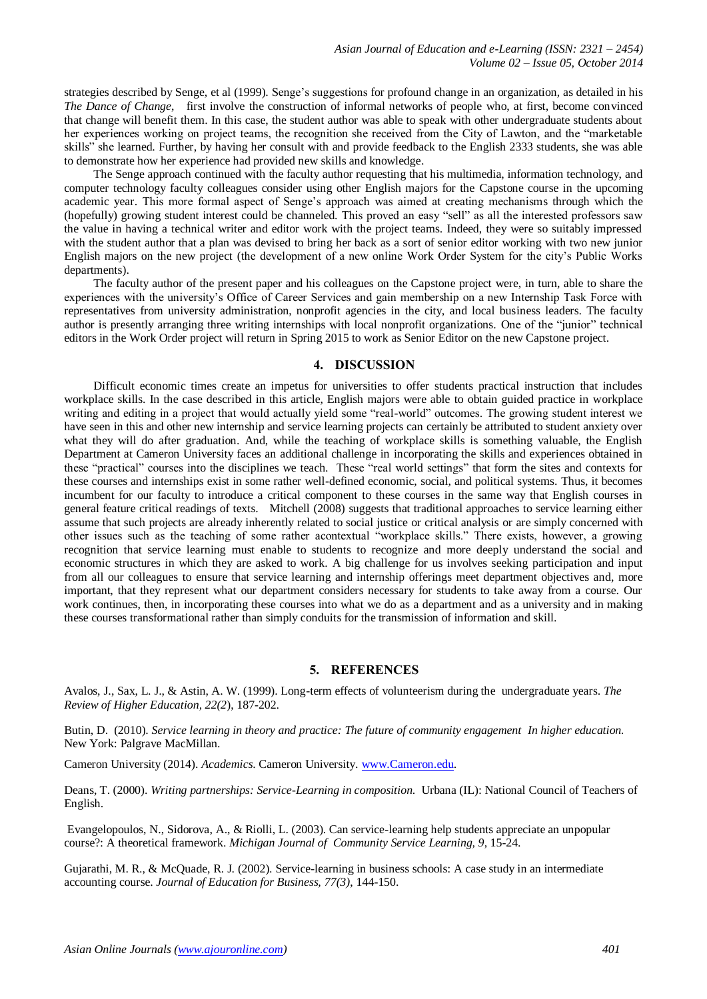strategies described by Senge, et al (1999). Senge's suggestions for profound change in an organization, as detailed in his *The Dance of Change*, first involve the construction of informal networks of people who, at first, become convinced that change will benefit them. In this case, the student author was able to speak with other undergraduate students about her experiences working on project teams, the recognition she received from the City of Lawton, and the "marketable skills" she learned. Further, by having her consult with and provide feedback to the English 2333 students, she was able to demonstrate how her experience had provided new skills and knowledge.

 The Senge approach continued with the faculty author requesting that his multimedia, information technology, and computer technology faculty colleagues consider using other English majors for the Capstone course in the upcoming academic year. This more formal aspect of Senge's approach was aimed at creating mechanisms through which the (hopefully) growing student interest could be channeled. This proved an easy "sell" as all the interested professors saw the value in having a technical writer and editor work with the project teams. Indeed, they were so suitably impressed with the student author that a plan was devised to bring her back as a sort of senior editor working with two new junior English majors on the new project (the development of a new online Work Order System for the city's Public Works departments).

 The faculty author of the present paper and his colleagues on the Capstone project were, in turn, able to share the experiences with the university's Office of Career Services and gain membership on a new Internship Task Force with representatives from university administration, nonprofit agencies in the city, and local business leaders. The faculty author is presently arranging three writing internships with local nonprofit organizations. One of the "junior" technical editors in the Work Order project will return in Spring 2015 to work as Senior Editor on the new Capstone project.

#### **4. DISCUSSION**

 Difficult economic times create an impetus for universities to offer students practical instruction that includes workplace skills. In the case described in this article, English majors were able to obtain guided practice in workplace writing and editing in a project that would actually yield some "real-world" outcomes. The growing student interest we have seen in this and other new internship and service learning projects can certainly be attributed to student anxiety over what they will do after graduation. And, while the teaching of workplace skills is something valuable, the English Department at Cameron University faces an additional challenge in incorporating the skills and experiences obtained in these "practical" courses into the disciplines we teach. These "real world settings" that form the sites and contexts for these courses and internships exist in some rather well-defined economic, social, and political systems. Thus, it becomes incumbent for our faculty to introduce a critical component to these courses in the same way that English courses in general feature critical readings of texts. Mitchell (2008) suggests that traditional approaches to service learning either assume that such projects are already inherently related to social justice or critical analysis or are simply concerned with other issues such as the teaching of some rather acontextual "workplace skills." There exists, however, a growing recognition that service learning must enable to students to recognize and more deeply understand the social and economic structures in which they are asked to work. A big challenge for us involves seeking participation and input from all our colleagues to ensure that service learning and internship offerings meet department objectives and, more important, that they represent what our department considers necessary for students to take away from a course. Our work continues, then, in incorporating these courses into what we do as a department and as a university and in making these courses transformational rather than simply conduits for the transmission of information and skill.

#### **5. REFERENCES**

Avalos, J., Sax, L. J., & Astin, A. W. (1999). Long-term effects of volunteerism during the undergraduate years. *The Review of Higher Education, 22(2*), 187-202.

Butin, D. (2010). *Service learning in theory and practice: The future of community engagement In higher education.* New York: Palgrave MacMillan.

Cameron University (2014). *Academics*. Cameron University. [www.Cameron.edu.](http://www.cameron.edu/)

Deans, T. (2000). *Writing partnerships: Service-Learning in composition*. Urbana (IL): National Council of Teachers of English.

Evangelopoulos, N., Sidorova, A., & Riolli, L. (2003). Can service-learning help students appreciate an unpopular course?: A theoretical framework. *Michigan Journal of Community Service Learning, 9*, 15-24.

Gujarathi, M. R., & McQuade, R. J. (2002). Service-learning in business schools: A case study in an intermediate accounting course. *Journal of Education for Business, 77(3)*, 144-150.